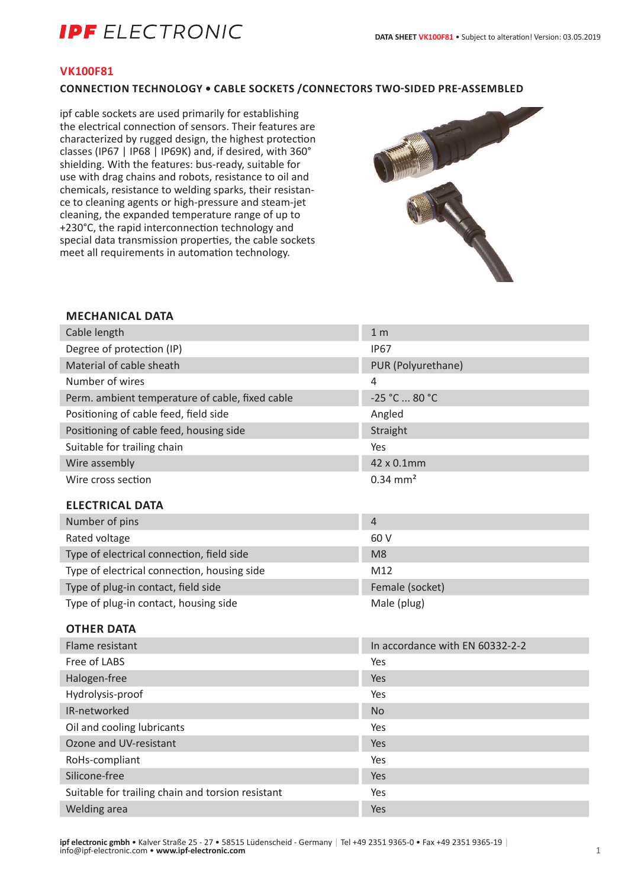# **IPF** ELECTRONIC

### **VK100F81**

### **CONNECTION TECHNOLOGY • CABLE SOCKETS /CONNECTORS TWO-SIDED PRE-ASSEMBLED**

ipf cable sockets are used primarily for establishing the electrical connection of sensors. Their features are characterized by rugged design, the highest protection classes (IP67 | IP68 | IP69K) and, if desired, with 360° shielding. With the features: bus-ready, suitable for use with drag chains and robots, resistance to oil and chemicals, resistance to welding sparks, their resistance to cleaning agents or high-pressure and steam-jet cleaning, the expanded temperature range of up to +230°C, the rapid interconnection technology and special data transmission properties, the cable sockets meet all requirements in automation technology.



### **MECHANICAL DATA**

| Cable length                                    | 1 <sub>m</sub>                  |
|-------------------------------------------------|---------------------------------|
| Degree of protection (IP)                       | <b>IP67</b>                     |
| Material of cable sheath                        | PUR (Polyurethane)              |
| Number of wires                                 | 4                               |
| Perm. ambient temperature of cable, fixed cable | -25 °C  80 °C                   |
| Positioning of cable feed, field side           | Angled                          |
| Positioning of cable feed, housing side         | Straight                        |
| Suitable for trailing chain                     | Yes                             |
| Wire assembly                                   | 42 x 0.1mm                      |
| Wire cross section                              | $0.34$ mm <sup>2</sup>          |
| <b>ELECTRICAL DATA</b>                          |                                 |
| Number of pins                                  | $\overline{4}$                  |
| Rated voltage                                   | 60 V                            |
| Type of electrical connection, field side       | M <sub>8</sub>                  |
| Type of electrical connection, housing side     | M12                             |
| Type of plug-in contact, field side             | Female (socket)                 |
| Type of plug-in contact, housing side           | Male (plug)                     |
| <b>OTHER DATA</b>                               |                                 |
| Flame resistant                                 | In accordance with EN 60332-2-2 |
| Free of LABS                                    | Yes                             |
| Halogen-free                                    | Yes                             |
| Hydrolysis-proof                                | Yes                             |
| IR-networked                                    | <b>No</b>                       |
| Oil and cooling lubricants                      | Yes                             |
| Ozone and UV-resistant                          | Yes                             |
| RoHs-compliant                                  | Yes                             |
| Silicone-free                                   | Yes                             |

Suitable for trailing chain and torsion resistant Yes Welding area Yes